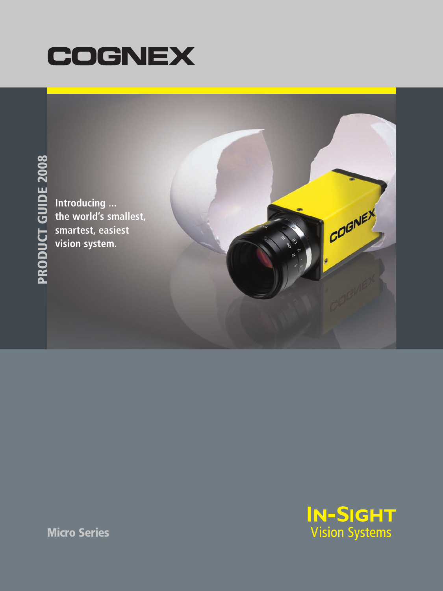



**Introducing ... the world's smallest, smartest, easiest vision system.**



COGNEY

**Micro Series**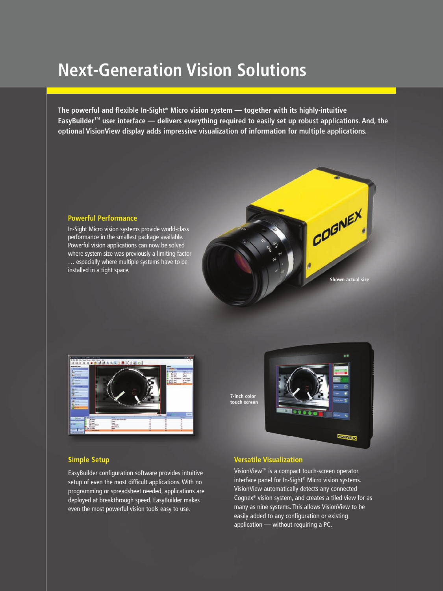# **Next-Generation Vision Solutions**

**The powerful and flexible In-Sight® Micro vision system — together with its highly-intuitive EasyBuilder**™ **user interface — delivers everything required to easily set up robust applications. And, the optional VisionView display adds impressive visualization of information for multiple applications.**

### **Powerful Performance**

In-Sight Micro vision systems provide world-class performance in the smallest package available. Powerful vision applications can now be solved where system size was previously a limiting factor … especially where multiple systems have to be installed in a tight space.



#### **7-inch color touch screen**



**Shown actual size**

COGNEX

### **Simple Setup**

EasyBuilder configuration software provides intuitive setup of even the most difficult applications. With no programming or spreadsheet needed, applications are deployed at breakthrough speed. EasyBuilder makes even the most powerful vision tools easy to use.

## **Versatile Visualization**

VisionView™ is a compact touch-screen operator interface panel for In-Sight® Micro vision systems. VisionView automatically detects any connected Cognex® vision system, and creates a tiled view for as many as nine systems. This allows VisionView to be easily added to any configuration or existing application — without requiring a PC.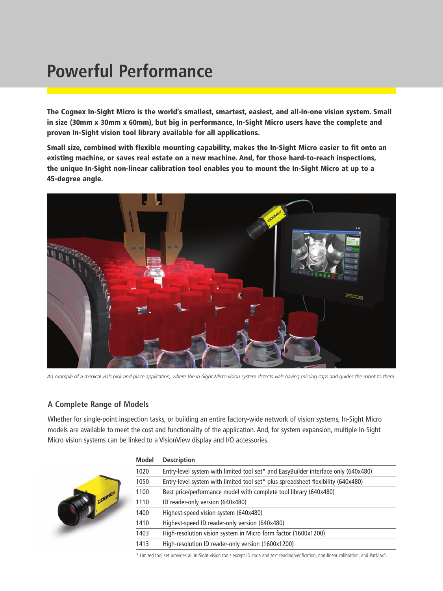# **Powerful Performance**

**The Cognex In-Sight Micro is the world's smallest, smartest, easiest, and all-in-one vision system. Small in size (30mm x 30mm x 60mm), but big in performance, In-Sight Micro users have the complete and proven In-Sight vision tool library available for all applications.**

**Small size, combined with flexible mounting capability, makes the In-Sight Micro easier to fit onto an existing machine, or saves real estate on a new machine. And, for those hard-to-reach inspections, the unique In-Sight non-linear calibration tool enables you to mount the In-Sight Micro at up to a 45-degree angle.**



*An example of a medical vials pick-and-place application, where the In-Sight Micro vision system detects vials having missing caps and guides the robot to them.* 

### **A Complete Range of Models**

Whether for single-point inspection tasks, or building an entire factory-wide network of vision systems, In-Sight Micro models are available to meet the cost and functionality of the application. And, for system expansion, multiple In-Sight Micro vision systems can be linked to a VisionView display and I/O accessories.



### **Model Description**

| iviouel | <b>DESCRIPTION</b>                                                                 |
|---------|------------------------------------------------------------------------------------|
| 1020    | Entry-level system with limited tool set* and EasyBuilder interface only (640x480) |
| 1050    | Entry-level system with limited tool set* plus spreadsheet flexibility (640x480)   |
| 1100    | Best price/performance model with complete tool library (640x480)                  |
| 1110    | ID reader-only version (640x480)                                                   |
| 1400    | Highest-speed vision system (640x480)                                              |
| 1410    | Highest-speed ID reader-only version (640x480)                                     |
| 1403    | High-resolution vision system in Micro form factor (1600x1200)                     |
| 1413    | High-resolution ID reader-only version (1600x1200)                                 |

\* Limited tool set provides all In-Sight vision tools except ID code and text reading/verification, non-linear calibration, and PatMax®.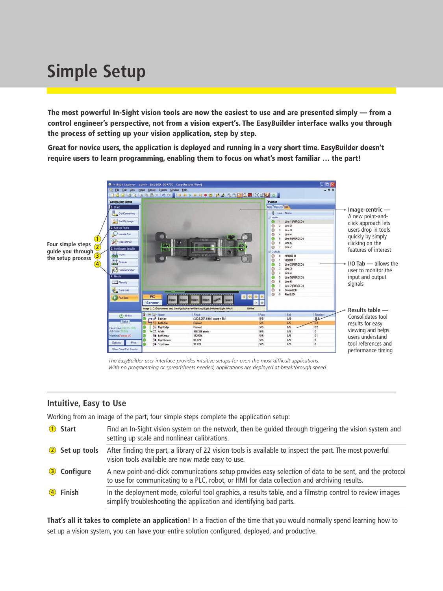# **Simple Setup**

**The most powerful In-Sight vision tools are now the easiest to use and are presented simply — from a control engineer's perspective, not from a vision expert's. The EasyBuilder interface walks you through the process of setting up your vision application, step by step.**

**Great for novice users, the application is deployed and running in a very short time. EasyBuilder doesn't require users to learn programming, enabling them to focus on what's most familiar … the part!**



*The EasyBuilder user interface provides intuitive setups for even the most difficult applications. With no programming or spreadsheets needed, applications are deployed at breakthrough speed.*

# **Intuitive, Easy to Use**

Working from an image of the part, four simple steps complete the application setup:

| <b>Start</b>   | Find an In-Sight vision system on the network, then be quided through triggering the vision system and<br>setting up scale and nonlinear calibrations.                                                 |
|----------------|--------------------------------------------------------------------------------------------------------------------------------------------------------------------------------------------------------|
| 2 Set up tools | After finding the part, a library of 22 vision tools is available to inspect the part. The most powerful<br>vision tools available are now made easy to use.                                           |
| 3 Configure    | A new point-and-click communications setup provides easy selection of data to be sent, and the protocol<br>to use for communicating to a PLC, robot, or HMI for data collection and archiving results. |
| 4 Finish       | In the deployment mode, colorful tool graphics, a results table, and a filmstrip control to review images<br>simplify troubleshooting the application and identifying bad parts.                       |

**That's all it takes to complete an application!** In a fraction of the time that you would normally spend learning how to set up a vision system, you can have your entire solution configured, deployed, and productive.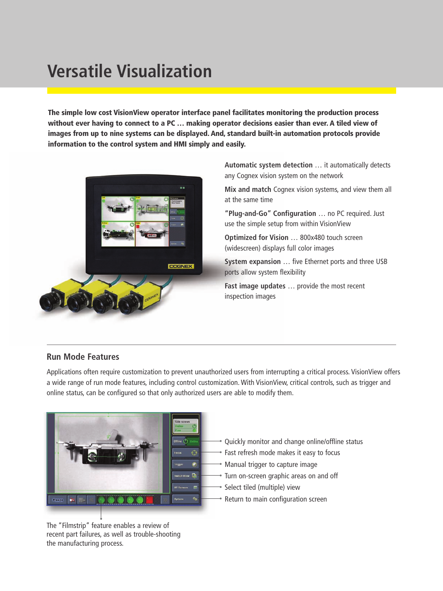# **Versatile Visualization**

**The simple low cost VisionView operator interface panel facilitates monitoring the production process without ever having to connect to a PC … making operator decisions easier than ever. A tiled view of images from up to nine systems can be displayed. And, standard built-in automation protocols provide information to the control system and HMI simply and easily.**



**Automatic system detection** … it automatically detects any Cognex vision system on the network

**Mix and match** Cognex vision systems, and view them all at the same time

**"Plug-and-Go" Configuration** … no PC required. Just use the simple setup from within VisionView

**Optimized for Vision** … 800x480 touch screen (widescreen) displays full color images

**System expansion** … five Ethernet ports and three USB ports allow system flexibility

**Fast image updates** … provide the most recent inspection images

# **Run Mode Features**

Applications often require customization to prevent unauthorized users from interrupting a critical process. VisionView offers a wide range of run mode features, including control customization. With VisionView, critical controls, such as trigger and online status, can be configured so that only authorized users are able to modify them.



The "Filmstrip" feature enables a review of recent part failures, as well as trouble-shooting the manufacturing process.